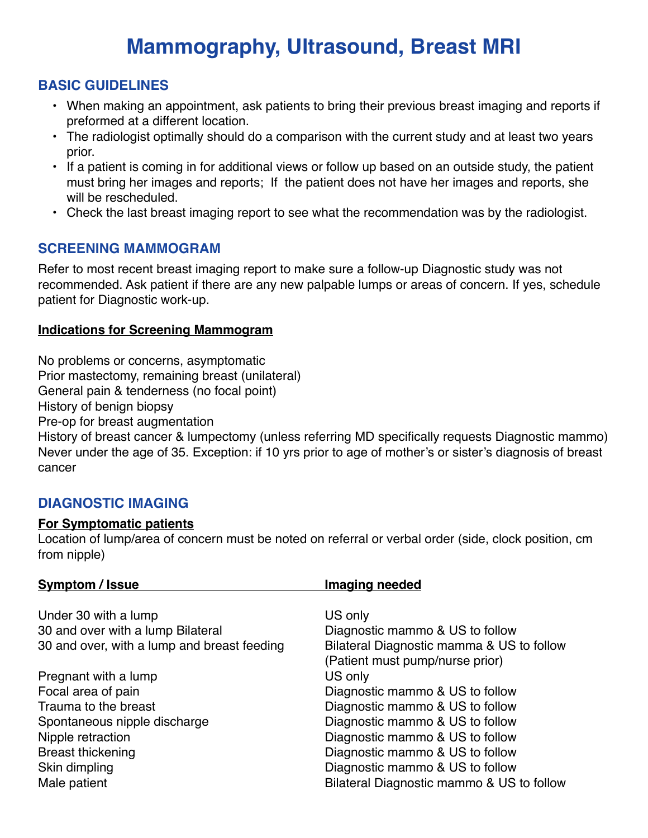# **Mammography, Ultrasound, Breast MRI**

## **BASIC GUIDELINES**

- When making an appointment, ask patients to bring their previous breast imaging and reports if preformed at a different location.
- The radiologist optimally should do a comparison with the current study and at least two years prior.
- If a patient is coming in for additional views or follow up based on an outside study, the patient must bring her images and reports; If the patient does not have her images and reports, she will be rescheduled.
- Check the last breast imaging report to see what the recommendation was by the radiologist.

### **SCREENING MAMMOGRAM**

Refer to most recent breast imaging report to make sure a follow-up Diagnostic study was not recommended. Ask patient if there are any new palpable lumps or areas of concern. If yes, schedule patient for Diagnostic work-up.

#### **Indications for Screening Mammogram**

No problems or concerns, asymptomatic

Prior mastectomy, remaining breast (unilateral)

General pain & tenderness (no focal point)

History of benign biopsy

Pre-op for breast augmentation

History of breast cancer & lumpectomy (unless referring MD specifically requests Diagnostic mammo) Never under the age of 35. Exception: if 10 yrs prior to age of mother's or sister's diagnosis of breast cancer

### **DIAGNOSTIC IMAGING**

#### **For Symptomatic patients**

Location of lump/area of concern must be noted on referral or verbal order (side, clock position, cm from nipple)

| <b>Symptom / Issue</b>                      | <b>Imaging needed</b>                                                        |
|---------------------------------------------|------------------------------------------------------------------------------|
| Under 30 with a lump                        | US only                                                                      |
| 30 and over with a lump Bilateral           | Diagnostic mammo & US to follow                                              |
| 30 and over, with a lump and breast feeding | Bilateral Diagnostic mamma & US to follow<br>(Patient must pump/nurse prior) |
| Pregnant with a lump                        | US only                                                                      |
| Focal area of pain                          | Diagnostic mammo & US to follow                                              |
| Trauma to the breast                        | Diagnostic mammo & US to follow                                              |
| Spontaneous nipple discharge                | Diagnostic mammo & US to follow                                              |
| Nipple retraction                           | Diagnostic mammo & US to follow                                              |
| <b>Breast thickening</b>                    | Diagnostic mammo & US to follow                                              |
| Skin dimpling                               | Diagnostic mammo & US to follow                                              |
| Male patient                                | Bilateral Diagnostic mammo & US to follow                                    |